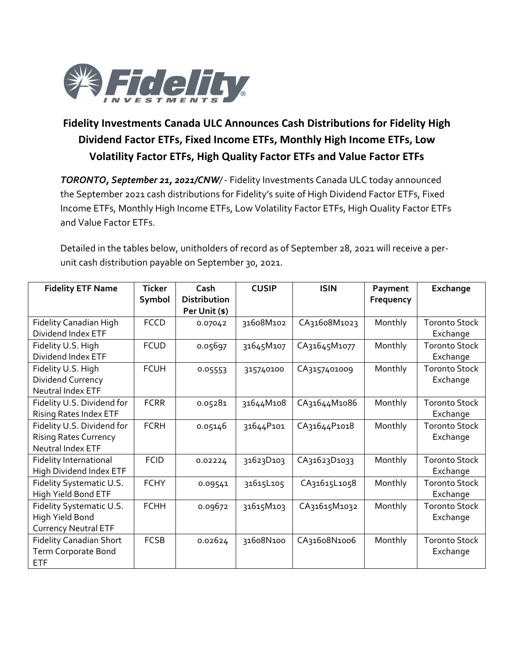

## **Fidelity Investments Canada ULC Announces Cash Distributions for Fidelity High Dividend Factor ETFs, Fixed Income ETFs, Monthly High Income ETFs, Low Volatility Factor ETFs, High Quality Factor ETFs and Value Factor ETFs**

*TORONTO, September 21, 2021/CNW/* - Fidelity Investments Canada ULC today announced the September 2021 cash distributions for Fidelity's suite of High Dividend Factor ETFs, Fixed Income ETFs, Monthly High Income ETFs, Low Volatility Factor ETFs, High Quality Factor ETFs and Value Factor ETFs.

Detailed in the tables below, unitholders of record as of September 28, 2021 will receive a perunit cash distribution payable on September 30, 2021.

| <b>Fidelity ETF Name</b>       | <b>Ticker</b> | Cash                | <b>CUSIP</b> | <b>ISIN</b>  | Payment   | Exchange             |
|--------------------------------|---------------|---------------------|--------------|--------------|-----------|----------------------|
|                                | Symbol        | <b>Distribution</b> |              |              | Frequency |                      |
|                                |               | Per Unit (\$)       |              |              |           |                      |
| Fidelity Canadian High         | <b>FCCD</b>   | 0.07042             | 31608M102    | CA31608M1023 | Monthly   | <b>Toronto Stock</b> |
| Dividend Index ETF             |               |                     |              |              |           | Exchange             |
| Fidelity U.S. High             | <b>FCUD</b>   | 0.05697             | 31645M107    | CA31645M1077 | Monthly   | <b>Toronto Stock</b> |
| Dividend Index ETF             |               |                     |              |              |           | Exchange             |
| Fidelity U.S. High             | <b>FCUH</b>   | 0.05553             | 315740100    | CA3157401009 | Monthly   | <b>Toronto Stock</b> |
| Dividend Currency              |               |                     |              |              |           | Exchange             |
| Neutral Index ETF              |               |                     |              |              |           |                      |
| Fidelity U.S. Dividend for     | <b>FCRR</b>   | 0.05281             | 31644M108    | CA31644M1086 | Monthly   | <b>Toronto Stock</b> |
| <b>Rising Rates Index ETF</b>  |               |                     |              |              |           | Exchange             |
| Fidelity U.S. Dividend for     | <b>FCRH</b>   | 0.05146             | 31644P101    | CA31644P1018 | Monthly   | <b>Toronto Stock</b> |
| <b>Rising Rates Currency</b>   |               |                     |              |              |           | Exchange             |
| Neutral Index ETF              |               |                     |              |              |           |                      |
| <b>Fidelity International</b>  | <b>FCID</b>   | 0.02224             | 31623D103    | CA31623D1033 | Monthly   | <b>Toronto Stock</b> |
| High Dividend Index ETF        |               |                     |              |              |           | Exchange             |
| Fidelity Systematic U.S.       | <b>FCHY</b>   | 0.09541             | 31615L105    | CA31615L1058 | Monthly   | <b>Toronto Stock</b> |
| High Yield Bond ETF            |               |                     |              |              |           | Exchange             |
| Fidelity Systematic U.S.       | <b>FCHH</b>   | 0.09672             | 31615M103    | CA31615M1032 | Monthly   | <b>Toronto Stock</b> |
| High Yield Bond                |               |                     |              |              |           | Exchange             |
| <b>Currency Neutral ETF</b>    |               |                     |              |              |           |                      |
| <b>Fidelity Canadian Short</b> | <b>FCSB</b>   | 0.02624             | 31608N100    | CA31608N1006 | Monthly   | <b>Toronto Stock</b> |
| Term Corporate Bond            |               |                     |              |              |           | Exchange             |
| <b>ETF</b>                     |               |                     |              |              |           |                      |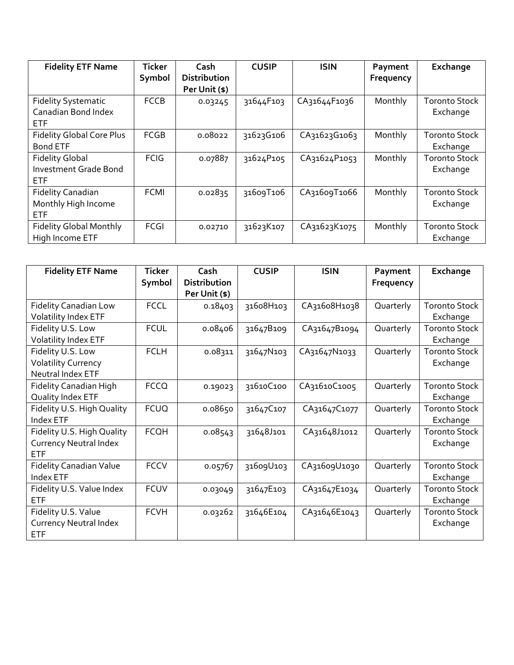| <b>Fidelity ETF Name</b>         | <b>Ticker</b><br>Symbol | Cash<br><b>Distribution</b> | <b>CUSIP</b> | <b>ISIN</b>  | Payment<br>Frequency | Exchange             |
|----------------------------------|-------------------------|-----------------------------|--------------|--------------|----------------------|----------------------|
|                                  |                         | Per Unit (\$)               |              |              |                      |                      |
| <b>Fidelity Systematic</b>       | <b>FCCB</b>             | 0.03245                     | 31644F103    | CA31644F1036 | Monthly              | <b>Toronto Stock</b> |
| Canadian Bond Index              |                         |                             |              |              |                      | Exchange             |
| <b>ETF</b>                       |                         |                             |              |              |                      |                      |
| <b>Fidelity Global Core Plus</b> | <b>FCGB</b>             | 0.08022                     | 31623G106    | CA31623G1063 | Monthly              | <b>Toronto Stock</b> |
| <b>Bond ETF</b>                  |                         |                             |              |              |                      | Exchange             |
| <b>Fidelity Global</b>           | <b>FCIG</b>             | 0.07887                     | 31624P105    | CA31624P1053 | Monthly              | <b>Toronto Stock</b> |
| <b>Investment Grade Bond</b>     |                         |                             |              |              |                      | Exchange             |
| <b>ETF</b>                       |                         |                             |              |              |                      |                      |
| <b>Fidelity Canadian</b>         | <b>FCMI</b>             | 0.02835                     | 31609T106    | CA31609T1066 | Monthly              | <b>Toronto Stock</b> |
| Monthly High Income              |                         |                             |              |              |                      | Exchange             |
| <b>ETF</b>                       |                         |                             |              |              |                      |                      |
| <b>Fidelity Global Monthly</b>   | FCGI                    | 0.02710                     | 31623K107    | CA31623K1075 | Monthly              | <b>Toronto Stock</b> |
| High Income ETF                  |                         |                             |              |              |                      | Exchange             |

| <b>Fidelity ETF Name</b>       | <b>Ticker</b> | Cash                | <b>CUSIP</b> | <b>ISIN</b>  | Payment   | Exchange             |
|--------------------------------|---------------|---------------------|--------------|--------------|-----------|----------------------|
|                                | Symbol        | <b>Distribution</b> |              |              | Frequency |                      |
|                                |               | Per Unit (\$)       |              |              |           |                      |
| <b>Fidelity Canadian Low</b>   | <b>FCCL</b>   | 0.18403             | 31608H103    | CA31608H1038 | Quarterly | <b>Toronto Stock</b> |
| Volatility Index ETF           |               |                     |              |              |           | Exchange             |
| Fidelity U.S. Low              | <b>FCUL</b>   | 0.08406             | 31647B109    | CA31647B1094 | Quarterly | <b>Toronto Stock</b> |
| Volatility Index ETF           |               |                     |              |              |           | Exchange             |
| Fidelity U.S. Low              | <b>FCLH</b>   | 0.08311             | 31647N103    | CA31647N1033 | Quarterly | <b>Toronto Stock</b> |
| <b>Volatility Currency</b>     |               |                     |              |              |           | Exchange             |
| Neutral Index ETF              |               |                     |              |              |           |                      |
| Fidelity Canadian High         | <b>FCCQ</b>   | 0.19023             | 31610C100    | CA31610C1005 | Quarterly | <b>Toronto Stock</b> |
| Quality Index ETF              |               |                     |              |              |           | Exchange             |
| Fidelity U.S. High Quality     | <b>FCUQ</b>   | 0.08650             | 31647C107    | CA31647C1077 | Quarterly | <b>Toronto Stock</b> |
| Index ETF                      |               |                     |              |              |           | Exchange             |
| Fidelity U.S. High Quality     | <b>FCQH</b>   | 0.08543             | 31648J101    | CA31648J1012 | Quarterly | <b>Toronto Stock</b> |
| <b>Currency Neutral Index</b>  |               |                     |              |              |           | Exchange             |
| <b>ETF</b>                     |               |                     |              |              |           |                      |
| <b>Fidelity Canadian Value</b> | <b>FCCV</b>   | 0.05767             | 31609U103    | CA31609U1030 | Quarterly | <b>Toronto Stock</b> |
| Index ETF                      |               |                     |              |              |           | Exchange             |
| Fidelity U.S. Value Index      | <b>FCUV</b>   | 0.03049             | 31647E103    | CA31647E1034 | Quarterly | <b>Toronto Stock</b> |
| <b>ETF</b>                     |               |                     |              |              |           | Exchange             |
| Fidelity U.S. Value            | <b>FCVH</b>   | 0.03262             | 31646E104    | CA31646E1043 | Quarterly | <b>Toronto Stock</b> |
| <b>Currency Neutral Index</b>  |               |                     |              |              |           | Exchange             |
| ETF                            |               |                     |              |              |           |                      |